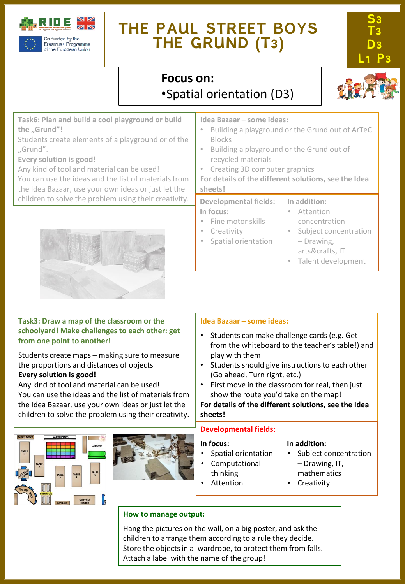

# **THE PAUL STREET BOYS THE GRUND (T3)**



# **Focus on:**  •Spatial orientation (D3)



**Task6: Plan and build a cool playground or build the "Grund"!**

Students create elements of a playground or of the "Grund".

**Every solution is good!**

Any kind of tool and material can be used!

You can use the ideas and the list of materials from the Idea Bazaar, use your own ideas or just let the children to solve the problem using their creativity.



# **Task3: Draw a map of the classroom or the schoolyard! Make challenges to each other: get from one point to another!**

Students create maps – making sure to measure the proportions and distances of objects **Every solution is good!**

Any kind of tool and material can be used! You can use the ideas and the list of materials from the Idea Bazaar, use your own ideas or just let the children to solve the problem using their creativity.





# **Idea Bazaar – some ideas:**

- Building a playground or the Grund out of ArTeC Blocks
- Building a playground or the Grund out of recycled materials
- Creating 3D computer graphics
- **For details of the different solutions, see the Idea sheets!**

#### **Developmental fields: In focus:** • Fine motor skills **In addition:** • Attention concentration

**Creativity** 

• Spatial orientation

- Subject concentration – Drawing,
	- arts&crafts, IT
	- Talent development

# **Idea Bazaar – some ideas:**

- Students can make challenge cards (e.g. Get from the whiteboard to the teacher's table!) and play with them
- Students should give instructions to each other (Go ahead, Turn right, etc.)
- First move in the classroom for real, then just show the route you'd take on the map!

**For details of the different solutions, see the Idea sheets!**

## **Developmental fields:**

## **In focus:**

- Spatial orientation
- Computational
- thinking
	- Attention
- Subject concentration – Drawing, IT, mathematics
- 
- **Creativity**

# **How to manage output:**

Hang the pictures on the wall, on a big poster, and ask the children to arrange them according to a rule they decide. Store the objects in a wardrobe, to protect them from falls. Attach a label with the name of the group!

**In addition:**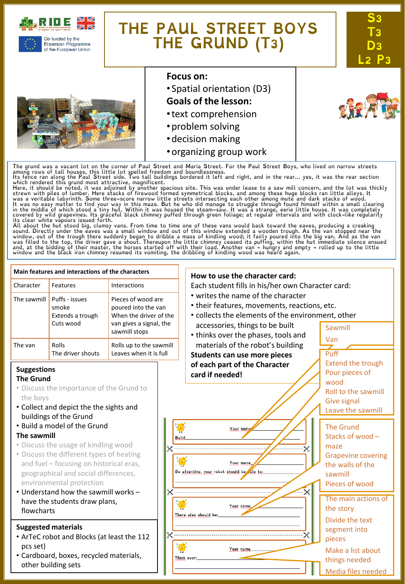

of the European Union

# **THE PAUL STREET BOYS THE GRUND (T3)**





# **Focus on:**

• Spatial orientation (D3)

# **Goals of the lesson:**

- •text comprehension
- •problem solving
- •decision making
- •organizing group work

The grund was a vacant lot on the corner of Paul Street and Maria Street. For the Paul Street Boys, who lived on narrow streets<br>among rows of tall houses, this little lot spelled freedom and boundlessness.<br>Its fence ran al

which rendered this grund most attractive, magnificent.<br>Here, it should be noted, it was adjoined by another spacious site. This was under lease to a saw mill concern, and the lot was thickly<br>Here, it should be noted, it w

sound. Directly under the eaves was a small window and out of this window extended a wooden trough. As the van stopped near the<br>window, out of the trough there suddenly began to dribble a mass of kindling wood; it fairly p

#### **Main features and interactions of the characters How to use the character card:** Character Features Interactions Each student fills in his/her own Character card: • writes the name of the character The sawmill  $\vert$  Puffs - issues Pieces of wood are • their features, movements, reactions, etc. smoke poured into the van • collects the elements of the environment, other Extends a trough When the driver of the Cuts wood van gives a signal, the accessories, things to be built Sawmill sawmill stops • thinks over the phases, tools and Van materials of the robot's building The van Rolls Rolls up to the sawmill The driver shouts Leaves when it is full Puff **Students can use more pieces** Extend the trough **of each part of the Character Suggestions** Pour pieces of **card if needed! The Grund** wood • Discuss the importance of the Grund to Roll to the sawmill the boys Give signal • Collect and depict the the sights and Leave the sawmill buildings of the Grund • Build a model of the Grund The Grund Your nam **The sawmill** Stacks of wood – **Build** • Discuss the usage of kindling wood maze • Discuss the different types of heating Grapevine covering and fuel – focusing on historical eras, Your name the walls of the Be attentive, your robot should be ole to: geographical and social differences, sawmill environmental protection Pieces of wood • Understand how the sawmill works – The main actions of have the students draw plans, Your name the story flowcharts There also should be: Divide the text **Suggested materials** segment into • ArTeC robot and Blocks (at least the 112 pieces pcs set) Your name Make a list about • Cardboard, boxes, recycled materials, Think over: things needed other building sets Media files needed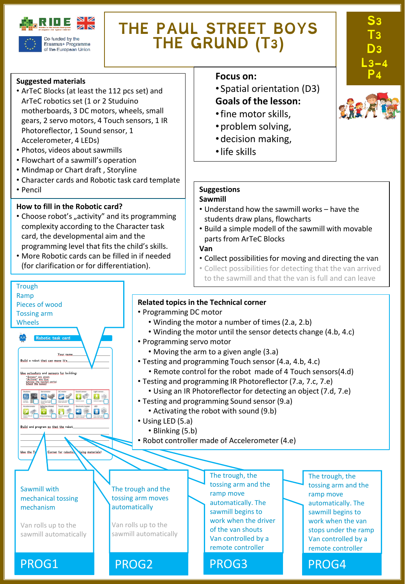

Erasmus+ Programme of the European Union

# **THE PAUL STREET BOYS THE GRUND (T3)**

### **Suggested materials**

- ArTeC Blocks (at least the 112 pcs set) and ArTeC robotics set (1 or 2 Studuino motherboards, 3 DC motors, wheels, small gears, 2 servo motors, 4 Touch sensors, 1 IR Photoreflector, 1 Sound sensor, 1 Accelerometer, 4 LEDs)
- Photos, videos about sawmills
- Flowchart of a sawmill's operation
- Mindmap or Chart draft , Storyline
- Character cards and Robotic task card template
- Pencil

**Trough** Ramp

Pieces of wood Tossing arm Wheels

Build a robot that can move it's Use actuators and sensors for building: "Senses" are green<br>"Actions" are blue<br>Chace the hovest

国王国史区

 $\bullet$ 

**Build** and program

Use the I

Your ni

 $\mathbf{E}$ 

Corner for robotic

ing materials

Sawmill with mechanical tossing mechanism

Van rolls up to the sawmill automatically

# **How to fill in the Robotic card?**

- Choose robot's "activity" and its programming complexity according to the Character task card, the developmental aim and the programming level that fits the child's skills.
- More Robotic cards can be filled in if needed (for clarification or for differentiation).

## **Focus** on:

- Spatial orientation (D3) **Goals of the lesson:**
- •fine motor skills,
- •problem solving,
- •decision making,
- •life skills

# **Suggestions**

#### **Sawmill**

- Understand how the sawmill works have the students draw plans, flowcharts
- Build a simple modell of the sawmill with movable parts from ArTeC Blocks

### **Van**

- Collect possibilities for moving and directing the van
- Collect possibilities for detecting that the van arrived to the sawmill and that the van is full and can leave

## **Related topics in the Technical corner**

- Programming DC motor
	- Winding the motor a number of times(2.a, 2.b)
	- Winding the motor until the sensor detects change (4.b, 4.c)
- Programming servo motor
	- Moving the arm to a given angle (3.a)
- Testing and programming Touch sensor (4.a, 4.b, 4.c)
	- Remote control for the robot made of 4 Touch sensors(4.d)
- Testing and programming IR Photoreflector (7.a, 7.c, 7.e)
	- Using an IR Photoreflector for detecting an object (7.d, 7.e)
- Testing and programming Sound sensor (9.a)
	- Activating the robot with sound (9.b)
- Using LED (5.a)
	- Blinking (5.b)

PROG1 PROG2 PROG3 PROG4

• Robot controller made of Accelerometer (4.e)

The trough and the tossing arm moves automatically

Van rolls up to the sawmill automatically The trough, the tossing arm and the ramp move automatically. The sawmill begins to work when the driver of the van shouts Van controlled by a remote controller

The trough, the tossing arm and the ramp move automatically. The sawmill begins to work when the van stops under the ramp Van controlled by a remote controller



**S3** 

**T3 D3** 

**L3-4**